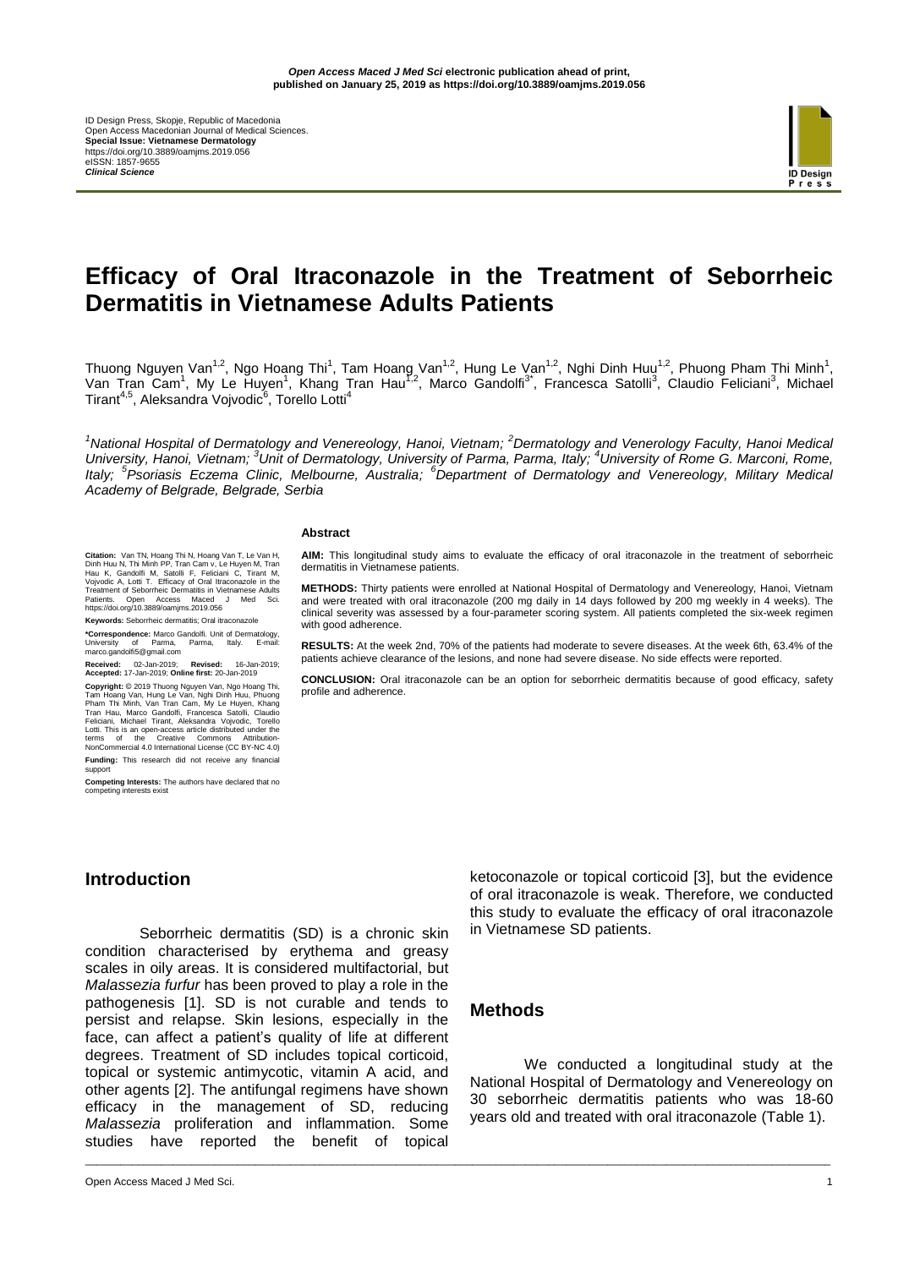ID Design Press, Skopje, Republic of Macedonia Open Access Macedonian Journal of Medical Sciences. **Special Issue: Vietnamese Dermatology** https://doi.org/10.3889/oamjms.2019.056 eISSN: 1857-9655 *Clinical Science*



# **Efficacy of Oral Itraconazole in the Treatment of Seborrheic Dermatitis in Vietnamese Adults Patients**

Thuong Nguyen Van<sup>1,2</sup>, Ngo Hoang Thi<sup>1</sup>, Tam Hoang Van<sup>1,2</sup>, Hung Le Van<sup>1,2</sup>, Nghi Dinh Huu<sup>1,2</sup>, Phuong Pham Thi Minh<sup>1</sup>, Van Tran Cam<sup>1</sup>, My Le Huyen<sup>1</sup>, Khang Tran Hau<sup>1,2</sup>, Marco Gandolfi<sup>3\*</sup>, Francesca Satolli<sup>3</sup>, Claudio Feliciani<sup>3</sup>, Michael Tirant<sup>4,5</sup>, Aleksandra Vojvodic<sup>6</sup>, Torello Lotti<sup>4</sup>

*<sup>1</sup>National Hospital of Dermatology and Venereology, Hanoi, Vietnam; <sup>2</sup>Dermatology and Venerology Faculty, Hanoi Medical University, Hanoi, Vietnam; <sup>3</sup>Unit of Dermatology, University of Parma, Parma, Italy; <sup>4</sup>University of Rome G. Marconi, Rome, Italy; <sup>5</sup> Psoriasis Eczema Clinic, Melbourne, Australia; <sup>6</sup>Department of Dermatology and Venereology, Military Medical Academy of Belgrade, Belgrade, Serbia*

#### **Abstract**

Citation: Van TN, Hoang Thi N, Hoang Van T, Le Van H, Dinh Huu N, Thi Minh PP, Tran Can v, Le Huyen M, Tran Linh Hau K, Gandolfi M, Satolli F, Feliciani C, Trant M, Vojvodic A, Lotti T. Efficacy of Oral Itraconazole in the https://doi.org/10.3889/oamjms.2019.056

**Keywords:** Seborrheic dermatitis; Oral itraconazole

**\*Correspondence:** Marco Gandolfi. Unit of Dermatology, University of Parma, Parma, Italy. E-mail: University of Parma, Parma, Italy.<br>marco.gandolfi5@gmail.com

**Received:** 02-Jan-2019; **Revised:** 16-Jan-2019; **Accepted:** 17-Jan-2019; **Online first:** 20-Jan-2019

**Copyright:** © 2019 Thuong Nguyen Van, Ngo Hoang Thi, Tam Hoang Van, Hung Le Van, Nghi Dinh Huu, Phuong<br>Pham Thi Minh, Van Tran Cam, My Le Huyen, Khang<br>Tran Hau, Marco Gandolfi, Francesca Satolli, Claudio<br>Feliciani, Michael Tirant, Aleksandra Vojvodic, Torello Lotti. This is an open-access article distributed under the terms of the Creative Commons Attribution-NonCommercial 4.0 International License (CC BY-NC 4.0) **Funding:** This research did not receive any financial

support

**Competing Interests:** The authors have declared that no competing interests exist

## **Introduction**

Seborrheic dermatitis (SD) is a chronic skin condition characterised by erythema and greasy scales in oily areas. It is considered multifactorial, but *Malassezia furfur* has been proved to play a role in the pathogenesis [1]. SD is not curable and tends to persist and relapse. Skin lesions, especially in the face, can affect a patient's quality of life at different degrees. Treatment of SD includes topical corticoid, topical or systemic antimycotic, vitamin A acid, and other agents [2]. The antifungal regimens have shown efficacy in the management of SD, reducing *Malassezia* proliferation and inflammation. Some studies have reported the benefit of topical

**AIM:** This longitudinal study aims to evaluate the efficacy of oral itraconazole in the treatment of seborrheic dermatitis in Vietnamese patients.

**METHODS:** Thirty patients were enrolled at National Hospital of Dermatology and Venereology, Hanoi, Vietnam and were treated with oral itraconazole (200 mg daily in 14 days followed by 200 mg weekly in 4 weeks). The clinical severity was assessed by a four-parameter scoring system. All patients completed the six-week regimen with good adherence.

**RESULTS:** At the week 2nd, 70% of the patients had moderate to severe diseases. At the week 6th, 63.4% of the patients achieve clearance of the lesions, and none had severe disease. No side effects were reported.

**CONCLUSION:** Oral itraconazole can be an option for seborrheic dermatitis because of good efficacy, safety profile and adherence.

> ketoconazole or topical corticoid [3], but the evidence of oral itraconazole is weak. Therefore, we conducted this study to evaluate the efficacy of oral itraconazole in Vietnamese SD patients.

## **Methods**

\_\_\_\_\_\_\_\_\_\_\_\_\_\_\_\_\_\_\_\_\_\_\_\_\_\_\_\_\_\_\_\_\_\_\_\_\_\_\_\_\_\_\_\_\_\_\_\_\_\_\_\_\_\_\_\_\_\_\_\_\_\_\_\_\_\_\_\_\_\_\_\_\_\_\_\_\_\_\_\_\_\_\_\_\_\_\_\_\_\_\_\_\_\_\_\_\_\_\_\_\_\_\_\_\_\_\_\_\_\_\_\_\_\_\_\_\_\_\_\_\_\_\_\_\_\_\_

We conducted a longitudinal study at the National Hospital of Dermatology and Venereology on 30 seborrheic dermatitis patients who was 18-60 years old and treated with oral itraconazole (Table 1).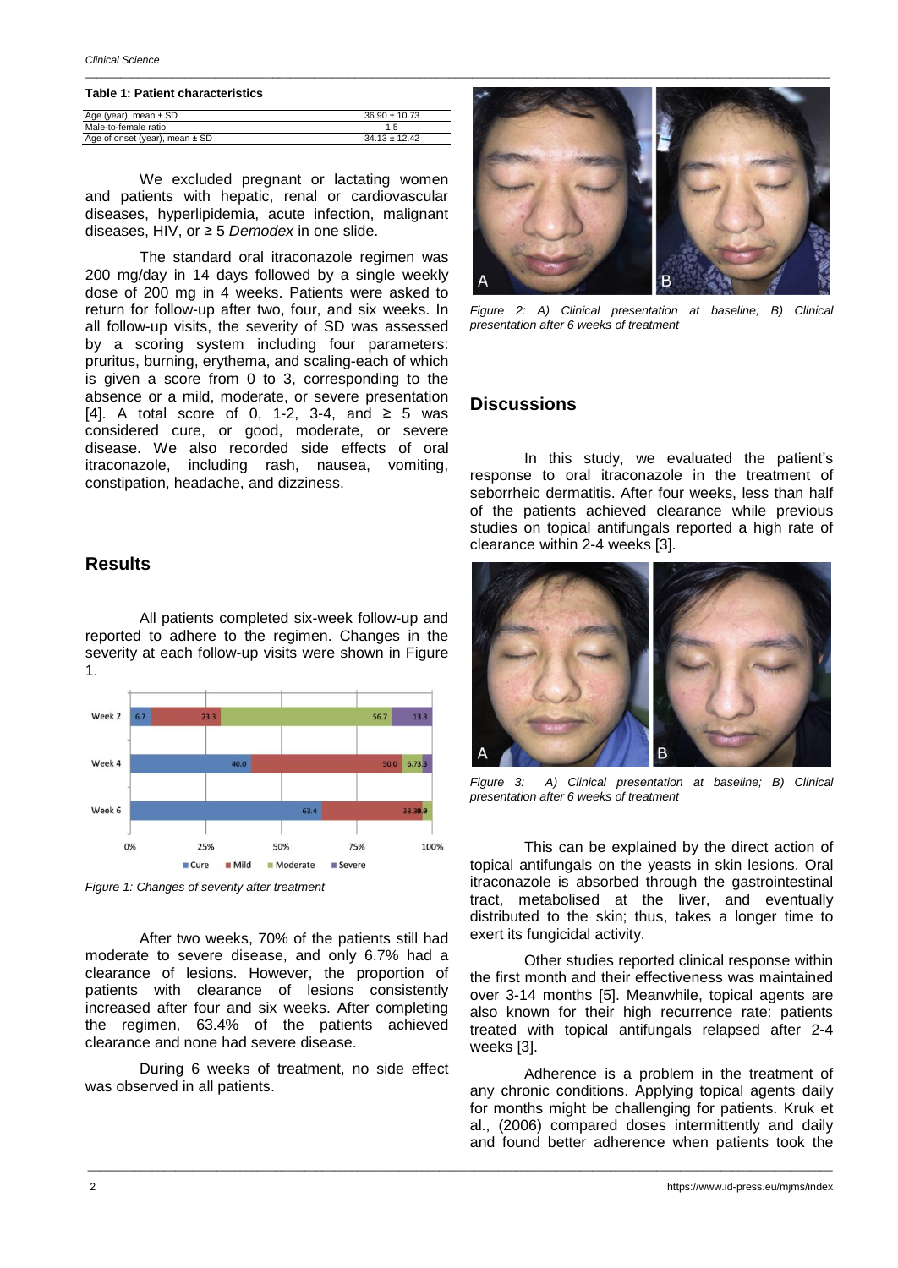*Clinical Science*

### **Table 1: Patient characteristics**

| Age (year), mean ± SD              | $36.90 \pm 10.73$ |
|------------------------------------|-------------------|
| Male-to-female ratio               |                   |
| Age of onset (year), mean $\pm$ SD | $34.13 \pm 12.42$ |
|                                    |                   |

We excluded pregnant or lactating women and patients with hepatic, renal or cardiovascular diseases, hyperlipidemia, acute infection, malignant diseases, HIV, or ≥ 5 *Demodex* in one slide.

The standard oral itraconazole regimen was 200 mg/day in 14 days followed by a single weekly dose of 200 mg in 4 weeks. Patients were asked to return for follow-up after two, four, and six weeks. In all follow-up visits, the severity of SD was assessed by a scoring system including four parameters: pruritus, burning, erythema, and scaling-each of which is given a score from 0 to 3, corresponding to the absence or a mild, moderate, or severe presentation [4]. A total score of 0, 1-2, 3-4, and  $\geq$  5 was considered cure, or good, moderate, or severe disease. We also recorded side effects of oral itraconazole, including rash, nausea, vomiting, constipation, headache, and dizziness.

### **Results**

All patients completed six-week follow-up and reported to adhere to the regimen. Changes in the severity at each follow-up visits were shown in Figure 1.



*Figure 1: Changes of severity after treatment*

After two weeks, 70% of the patients still had moderate to severe disease, and only 6.7% had a clearance of lesions. However, the proportion of patients with clearance of lesions consistently increased after four and six weeks. After completing the regimen, 63.4% of the patients achieved clearance and none had severe disease.

During 6 weeks of treatment, no side effect was observed in all patients.



*Figure 2: A) Clinical presentation at baseline; B) Clinical presentation after 6 weeks of treatment*

### **Discussions**

In this study, we evaluated the patient's response to oral itraconazole in the treatment of seborrheic dermatitis. After four weeks, less than half of the patients achieved clearance while previous studies on topical antifungals reported a high rate of clearance within 2-4 weeks [3].



*Figure 3: A) Clinical presentation at baseline; B) Clinical presentation after 6 weeks of treatment*

This can be explained by the direct action of topical antifungals on the yeasts in skin lesions. Oral itraconazole is absorbed through the gastrointestinal tract, metabolised at the liver, and eventually distributed to the skin; thus, takes a longer time to exert its fungicidal activity.

Other studies reported clinical response within the first month and their effectiveness was maintained over 3-14 months [5]. Meanwhile, topical agents are also known for their high recurrence rate: patients treated with topical antifungals relapsed after 2-4 weeks [3].

Adherence is a problem in the treatment of any chronic conditions. Applying topical agents daily for months might be challenging for patients. Kruk et al., (2006) compared doses intermittently and daily and found better adherence when patients took the

\_\_\_\_\_\_\_\_\_\_\_\_\_\_\_\_\_\_\_\_\_\_\_\_\_\_\_\_\_\_\_\_\_\_\_\_\_\_\_\_\_\_\_\_\_\_\_\_\_\_\_\_\_\_\_\_\_\_\_\_\_\_\_\_\_\_\_\_\_\_\_\_\_\_\_\_\_\_\_\_\_\_\_\_\_\_\_\_\_\_\_\_\_\_\_\_\_\_\_\_\_\_\_\_\_\_\_\_\_\_\_\_\_\_\_\_\_\_\_\_\_\_\_\_\_\_\_